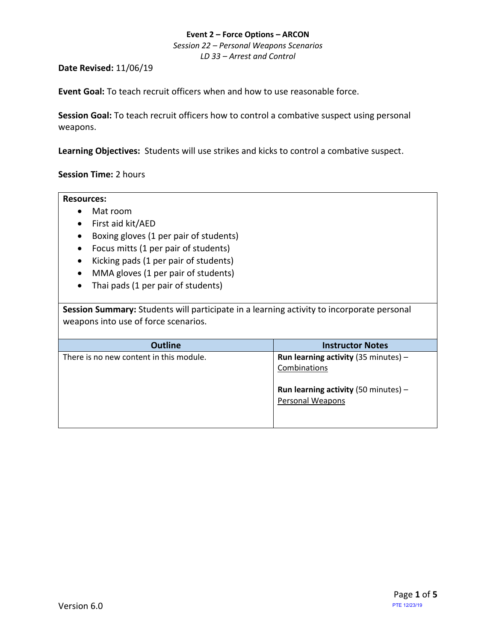### **Event 2 – Force Options – ARCON**

*Session 22 – Personal Weapons Scenarios LD 33 – Arrest and Control*

## **Date Revised:** 11/06/19

**Event Goal:** To teach recruit officers when and how to use reasonable force.

**Session Goal:** To teach recruit officers how to control a combative suspect using personal weapons.

**Learning Objectives:** Students will use [strikes and kicks to control a combative suspect.](#page-3-0)

## **Session Time:** 2 hours

### **Resources:**

- Mat room
- First aid kit/AED
- Boxing gloves (1 per pair of students)
- Focus mitts (1 per pair of students)
- Kicking pads (1 per pair of students)
- MMA gloves (1 per pair of students)
- Thai pads (1 per pair of students)

**Session Summary:** Students will participate in a learning activity to incorporate personal weapons into use of force scenarios.

<span id="page-0-0"></span>

| <b>Outline</b>                          | <b>Instructor Notes</b>                                                  |
|-----------------------------------------|--------------------------------------------------------------------------|
| There is no new content in this module. | <b>Run learning activity</b> (35 minutes) $-$<br>Combinations            |
|                                         | <b>Run learning activity</b> (50 minutes) $-$<br><b>Personal Weapons</b> |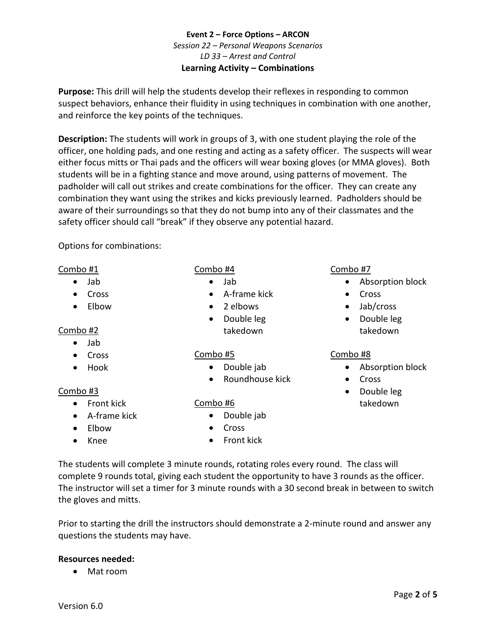## **Event 2 – Force Options – ARCON** *Session 22 – Personal Weapons Scenarios LD 33 – Arrest and Control* **Learning Activity – Combinations**

**Purpose:** This drill will help the students develop their reflexes in responding to common suspect behaviors, enhance their fluidity in using techniques in combination with one another, and reinforce the key points of the techniques.

**Description:** The students will work in groups of 3, with one student playing the role of the officer, one holding pads, and one resting and acting as a safety officer. The suspects will wear either focus mitts or Thai pads and the officers will wear boxing gloves (or MMA gloves). Both students will be in a fighting stance and move around, using patterns of movement. The padholder will call out strikes and create combinations for the officer. They can create any combination they want using the strikes and kicks previously learned. Padholders should be aware of their surroundings so that they do not bump into any of their classmates and the safety officer should call "break" if they observe any potential hazard.

Options for combinations:

## Combo #1

- Jab
- Cross
- Elbow

# Combo #2

- Jab
- Cross
- Hook

# Combo #3

- Front kick
- A-frame kick
- Elbow
- Knee
- Combo #4
	- Jab
		- A-frame kick
		- 2 elbows
		- Double leg takedown

# Combo #5

- Double jab
- Roundhouse kick
- Combo #6
	- Double jab
	- Cross
	- **Front kick**

# Combo #7

- Absorption block
- Cross
- Jab/cross
- Double leg takedown

# Combo #8

- Absorption block
- Cross
- Double leg takedown

The students will complete 3 minute rounds, rotating roles every round. The class will complete 9 rounds total, giving each student the opportunity to have 3 rounds as the officer. The instructor will set a timer for 3 minute rounds with a 30 second break in between to switch the gloves and mitts.

Prior to starting the drill the instructors should demonstrate a 2-minute round and answer any questions the students may have.

# **Resources needed:**

• Mat room

- -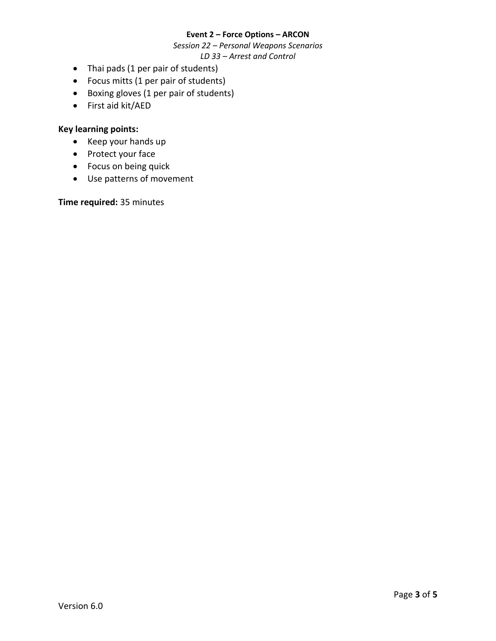### **Event 2 – Force Options – ARCON**

*Session 22 – Personal Weapons Scenarios LD 33 – Arrest and Control*

- Thai pads (1 per pair of students)
- Focus mitts (1 per pair of students)
- Boxing gloves (1 per pair of students)
- First aid kit/AED

### **Key learning points:**

- Keep your hands up
- Protect your face
- Focus on being quick
- Use patterns of movement

**Time required:** 35 minutes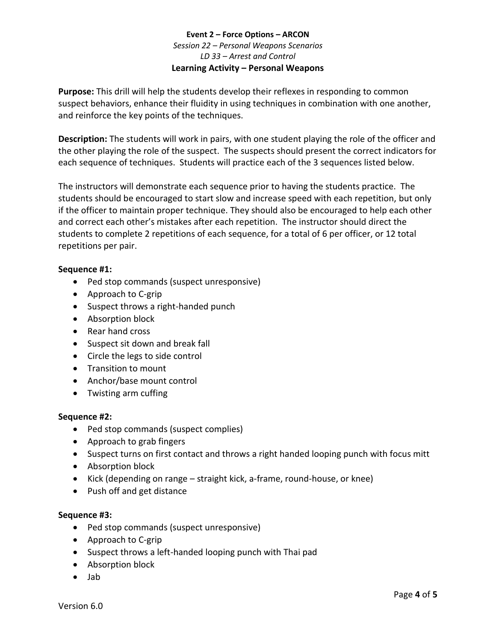## **Event 2 – Force Options – ARCON** *Session 22 – Personal Weapons Scenarios LD 33 – Arrest and Control* **Learning Activity – Personal Weapons**

<span id="page-3-0"></span>**Purpose:** This drill will help the students develop their reflexes in responding to common suspect behaviors, enhance their fluidity in using techniques in combination with one another, and reinforce the key points of the techniques.

**Description:** The students will work in pairs, with one student playing the role of the officer and the other playing the role of the suspect. The suspects should present the correct indicators for each sequence of techniques. Students will practice each of the 3 sequences listed below.

The instructors will demonstrate each sequence prior to having the students practice. The students should be encouraged to start slow and increase speed with each repetition, but only if the officer to maintain proper technique. They should also be encouraged to help each other and correct each other's mistakes after each repetition. The instructor should direct the students to complete 2 repetitions of each sequence, for a total of 6 per officer, or 12 total repetitions per pair.

## **Sequence #1:**

- Ped stop commands (suspect unresponsive)
- Approach to C-grip
- Suspect throws a right-handed punch
- Absorption block
- Rear hand cross
- Suspect sit down and break fall
- Circle the legs to side control
- Transition to mount
- Anchor/base mount control
- Twisting arm cuffing

## **Sequence #2:**

- Ped stop commands (suspect complies)
- Approach to grab fingers
- Suspect turns on first contact and throws a right handed looping punch with focus mitt
- Absorption block
- Kick (depending on range straight kick, a-frame, round-house, or knee)
- Push off and get distance

## **Sequence #3:**

- Ped stop commands (suspect unresponsive)
- Approach to C-grip
- Suspect throws a left-handed looping punch with Thai pad
- Absorption block
- Jab